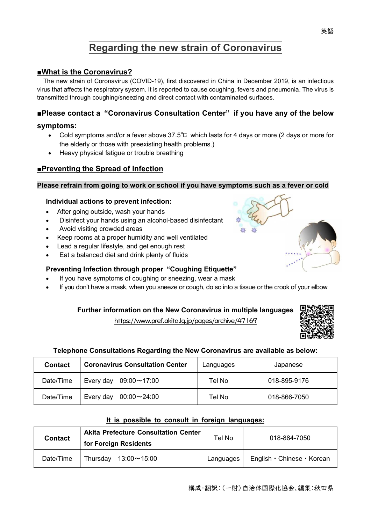# **Regarding the new strain of Coronavirus**

# **■What is the Coronavirus?**

The new strain of Coronavirus (COVID-19), first discovered in China in December 2019, is an infectious virus that affects the respiratory system. It is reported to cause coughing, fevers and pneumonia. The virus is transmitted through coughing/sneezing and direct contact with contaminated surfaces.

# **■Please contact a "Coronavirus Consultation Center" if you have any of the below**

#### **symptoms:**

- Cold symptoms and/or a fever above  $37.5^{\circ}$ C which lasts for 4 days or more (2 days or more for the elderly or those with preexisting health problems.)
- · Heavy physical fatigue or trouble breathing

# **■Preventing the Spread of Infection**

#### **Please refrain from going to work or school if you have symptoms such as a fever or cold**

#### **Individual actions to prevent infection:**

- After going outside, wash your hands
- · Disinfect your hands using an alcohol-based disinfectant
- Avoid visiting crowded areas
- Keep rooms at a proper humidity and well ventilated
- Lead a regular lifestyle, and get enough rest
- Eat a balanced diet and drink plenty of fluids

# **Preventing Infection through proper "Coughing Etiquette"**

- If you have symptoms of coughing or sneezing, wear a mask
- If you don't have a mask, when you sneeze or cough, do so into a tissue or the crook of your elbow

# **Further information on the New Coronavirus in multiple languages**

https://www.pref.akita.lg.jp/pages/archive/47169



#### **Telephone Consultations Regarding the New Coronavirus are available as below:**

| <b>Contact</b> | <b>Coronavirus Consultation Center</b> | Languages | Japanese     |
|----------------|----------------------------------------|-----------|--------------|
| Date/Time      | Every day $09:00 \sim 17:00$           | Tel No    | 018-895-9176 |
| Date/Time      | Every day<br>$00:00 \sim 24:00$        | Tel No    | 018-866-7050 |

#### **It is possible to consult in foreign languages:**

| <b>Contact</b> | <b>Akita Prefecture Consultation Center</b><br>for Foreign Residents | Tel No    | 018-884-7050               |
|----------------|----------------------------------------------------------------------|-----------|----------------------------|
| Date/Time      | Thursday $13:00 \sim 15:00$                                          | Languages | English · Chinese · Korean |